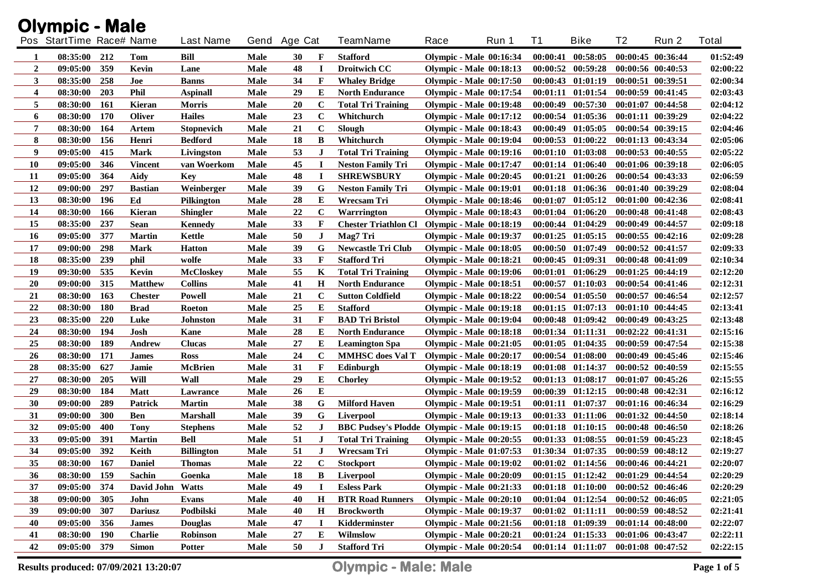|                | <b>Olympic - Male</b>    |            |                  |                   |             |              |              |                                              |      |                                |          |                                             |    |                       |          |
|----------------|--------------------------|------------|------------------|-------------------|-------------|--------------|--------------|----------------------------------------------|------|--------------------------------|----------|---------------------------------------------|----|-----------------------|----------|
|                | Pos StartTime Race# Name |            |                  | <b>Last Name</b>  |             | Gend Age Cat |              | <b>TeamName</b>                              | Race | Run 1                          | T1       | <b>Bike</b>                                 | T2 | Run 2                 | Total    |
| 1              | 08:35:00                 | 212        | Tom              | Bill              | Male        | 30           | F            | <b>Stafford</b>                              |      | <b>Olympic - Male 00:16:34</b> | 00:00:41 | 00:58:05                                    |    | 00:00:45 00:36:44     | 01:52:49 |
| $\overline{2}$ | 09:05:00                 | 359        | Kevin            | Lane              | Male        | 48           | <b>I</b>     | <b>Droitwich CC</b>                          |      | <b>Olympic - Male 00:18:13</b> |          | 00:00:52 00:59:28                           |    | 00:00:56 00:40:53     | 02:00:22 |
| 3              | 08:35:00                 | 258        | Joe              | Banns             | Male        | 34           | $\mathbf{F}$ | <b>Whaley Bridge</b>                         |      | <b>Olympic - Male 00:17:50</b> |          | 00:00:43 01:01:19                           |    | 00:00:51 00:39:51     | 02:00:34 |
| 4              | 08:30:00                 | 203        | <b>Phil</b>      | <b>Aspinall</b>   | <b>Male</b> | 29           | Е            | <b>North Endurance</b>                       |      | <b>Olympic - Male 00:17:54</b> | 00:01:11 | 01:01:54                                    |    | 00:00:59 00:41:45     | 02:03:43 |
| 5              | 08:30:00                 | 161        | Kieran           | <b>Morris</b>     | Male        | 20           | $\mathbf C$  | <b>Total Tri Training</b>                    |      | <b>Olympic - Male 00:19:48</b> | 00:00:49 | 00:57:30                                    |    | 00:01:07 00:44:58     | 02:04:12 |
| 6              | 08:30:00                 | 170        | Oliver           | <b>Hailes</b>     | Male        | 23           | $\mathbf C$  | Whitchurch                                   |      | <b>Olympic - Male 00:17:12</b> | 00:00:54 | 01:05:36                                    |    | 00:01:11 00:39:29     | 02:04:22 |
| 7              | 08:30:00                 | 164        | Artem            | <b>Stopnevich</b> | Male        | 21           | $\bf C$      | Slough                                       |      | <b>Olympic - Male 00:18:43</b> | 00:00:49 | 01:05:05                                    |    | 00:00:54 00:39:15     | 02:04:46 |
| 8              | 08:30:00                 | 156        | Henri            | <b>Bedford</b>    | Male        | 18           | B            | Whitchurch                                   |      | <b>Olympic - Male 00:19:04</b> | 00:00:53 | 01:00:22                                    |    | 00:01:13 00:43:34     | 02:05:06 |
| 9              | 09:05:00                 | 415        | <b>Mark</b>      | Livingston        | Male        | 53           | J            | <b>Total Tri Training</b>                    |      | <b>Olympic - Male 00:19:16</b> | 00:01:10 | 01:03:08                                    |    | 00:00:53 00:40:55     | 02:05:22 |
| <b>10</b>      | 09:05:00                 | 346        | <b>Vincent</b>   | van Woerkom       | Male        | 45           | <b>I</b>     | <b>Neston Family Tri</b>                     |      | <b>Olympic - Male 00:17:47</b> | 00:01:14 | 01:06:40                                    |    | 00:01:06 00:39:18     | 02:06:05 |
| 11             | 09:05:00                 | 364        | Aidy             | <b>Key</b>        | Male        | 48           | <b>I</b>     | <b>SHREWSBURY</b>                            |      | <b>Olympic - Male 00:20:45</b> | 00:01:21 | 01:00:26                                    |    | $00:00:54$ $00:43:33$ | 02:06:59 |
| 12             | 09:00:00                 | 297        | <b>Bastian</b>   | Weinberger        | Male        | 39           | G            | <b>Neston Family Tri</b>                     |      | <b>Olympic - Male 00:19:01</b> |          | 00:01:18 01:06:36                           |    | 00:01:40 00:39:29     | 02:08:04 |
| 13             | 08:30:00                 | 196        | Ed               | Pilkington        | Male        | 28           | E            | Wrecsam Tri                                  |      | Olympic - Male 00:18:46        |          | $00:01:07$ $01:05:12$                       |    | 00:01:00 00:42:36     | 02:08:41 |
| 14             | 08:30:00                 | 166        | Kieran           | <b>Shingler</b>   | Male        | 22           | $\bf c$      | Warrrington                                  |      | <b>Olympic - Male 00:18:43</b> |          | $00:01:04$ $01:06:20$                       |    | $00:00:48$ $00:41:48$ | 02:08:43 |
| 15             | 08:35:00                 | 237        | <b>Sean</b>      | Kennedy           | Male        | 33           | F            | Chester Triathlon Cl Olympic - Male 00:18:19 |      |                                |          | $00:00:44$ $01:04:29$                       |    | $00:00:49$ $00:44:57$ | 02:09:18 |
| <b>16</b>      | 09:05:00                 | 377        | <b>Martin</b>    | Kettle            | Male        | 50           | J            | Mag7 Tri                                     |      | <b>Olympic - Male 00:19:37</b> |          | $00:01:25$ $01:05:15$                       |    | $00:00:55$ $00:42:16$ | 02:09:28 |
| 17             | 09:00:00                 | 298        | <b>Mark</b>      | <b>Hatton</b>     | Male        | 39           | G            | <b>Newcastle Tri Club</b>                    |      | <b>Olympic - Male 00:18:05</b> |          | $00:00:50$ $01:07:49$                       |    | $00:00:52$ $00:41:57$ | 02:09:33 |
| 18             | 08:35:00                 | 239        | phil             | wolfe             | Male        | 33           | F            | <b>Stafford Tri</b>                          |      | <b>Olympic - Male 00:18:21</b> |          | $00:00:45$ $01:09:31$                       |    | 00:00:48 00:41:09     | 02:10:34 |
| 19             | 09:30:00                 | 535        | Kevin            | <b>McCloskey</b>  | Male        | 55           | K            | <b>Total Tri Training</b>                    |      | <b>Olympic - Male 00:19:06</b> |          | $00:01:01$ $01:06:29$                       |    | $00:01:25$ $00:44:19$ | 02:12:20 |
| 20             | 09:00:00                 | 315        | <b>Matthew</b>   | <b>Collins</b>    | Male        | 41           | Н            | <b>North Endurance</b>                       |      | <b>Olympic - Male 00:18:51</b> |          | $00:00:57$ $01:10:03$                       |    | $00:00:54$ $00:41:46$ | 02:12:31 |
| 21             | 08:30:00                 | 163        | <b>Chester</b>   | <b>Powell</b>     | Male        | 21           | $\mathbf c$  | <b>Sutton Coldfield</b>                      |      | Olympic - Male 00:18:22        |          | $00:00:54$ $01:05:50$                       |    | $00:00:57$ $00:46:54$ | 02:12:57 |
| 22             | 08:30:00                 | <b>180</b> | <b>Brad</b>      | Roeton            | <b>Male</b> | 25           | E            | <b>Stafford</b>                              |      | <b>Olympic - Male 00:19:18</b> |          | $00:01:15$ $01:07:13$                       |    | $00:01:10$ $00:44:45$ | 02:13:41 |
| 23             | 08:35:00                 | 220        | Luke             | Johnston          | Male        | 31           | $\mathbf F$  | <b>BAD Tri Bristol</b>                       |      | <b>Olympic - Male 00:19:04</b> |          | $00:00:48$ $01:09:42$                       |    | $00:00:49$ $00:43:25$ | 02:13:48 |
| 24             | 08:30:00                 | 194        | Josh             | Kane              | Male        | 28           | E            | <b>North Endurance</b>                       |      | Olympic - Male 00:18:18        |          | 00:01:34 01:11:31                           |    | $00:02:22$ $00:41:31$ | 02:15:16 |
| 25             | 08:30:00                 | 189        | Andrew           | <b>Clucas</b>     | Male        | 27           | Е            | <b>Leamington Spa</b>                        |      | Olympic - Male $00:21:05$      |          | $00:01:05$ $01:04:35$                       |    | 00:00:59 00:47:54     | 02:15:38 |
| 26             | 08:30:00                 | 171        | <b>James</b>     | <b>Ross</b>       | Male        | 24           | $\mathbf C$  | <b>MMHSC</b> does Val T                      |      | <b>Olympic - Male 00:20:17</b> |          | $00:00:54$ $01:08:00$                       |    | 00:00:49 00:45:46     | 02:15:46 |
| 28             | 08:35:00                 | 627        | Jamie            | <b>McBrien</b>    | Male        | 31           | $\mathbf{F}$ | Edinburgh                                    |      | <b>Olympic - Male 00:18:19</b> |          | 00:01:08 01:14:37                           |    | 00:00:52 00:40:59     | 02:15:55 |
| 27             | 08:30:00                 | 205        | Will             | Wall              | Male        | 29           | Е            | <b>Chorley</b>                               |      | <b>Olympic - Male 00:19:52</b> |          | 00:01:13 01:08:17                           |    | $00:01:07$ $00:45:26$ | 02:15:55 |
| 29             | 08:30:00                 | 184        | <b>Matt</b>      | Lawrance          | Male        | 26           | E            |                                              |      | <b>Olympic - Male 00:19:59</b> |          | 00:00:39 01:12:15                           |    | 00:00:48 00:42:31     | 02:16:12 |
| 30             | 09:00:00                 | 289        | <b>Patrick</b>   | <b>Martin</b>     | Male        | 38           | G            | <b>Milford Haven</b>                         |      | <b>Olympic - Male 00:19:51</b> |          | 00:01:11 01:07:37                           |    | 00:01:16 00:46:34     | 02:16:29 |
| 31             | 09:00:00                 | 300        | <b>Ben</b>       | <b>Marshall</b>   | Male        | 39           | G            | <b>Liverpool</b>                             |      | <b>Olympic - Male 00:19:13</b> |          | 00:01:33 01:11:06                           |    | 00:01:32 00:44:50     | 02:18:14 |
| 32             | 09:05:00                 | 400        | <b>Tony</b>      | <b>Stephens</b>   | Male        | 52           | J            | BBC Pudsey's Plodde Olympic - Male 00:19:15  |      |                                |          | 00:01:18 01:10:15                           |    | $00:00:48$ $00:46:50$ | 02:18:26 |
| 33             | 09:05:00                 | 391        | <b>Martin</b>    | <b>Bell</b>       | Male        | 51           | $\bf J$      | <b>Total Tri Training</b>                    |      | <b>Olympic - Male 00:20:55</b> |          | 00:01:33 01:08:55                           |    | $00:01:59$ $00:45:23$ | 02:18:45 |
| 34             | 09:05:00                 | 392        | Keith            | <b>Billington</b> | <b>Male</b> | 51           | J            | Wrecsam Tri                                  |      | <b>Olympic - Male 01:07:53</b> |          | 01:30:34 01:07:35                           |    | $00:00:59$ $00:48:12$ | 02:19:27 |
| 35             | 08:30:00                 | 167        | <b>Daniel</b>    | <b>Thomas</b>     | Male        | $22\,$       | $\mathbf C$  | <b>Stockport</b>                             |      | <b>Olympic - Male 00:19:02</b> |          | $00:01:02$ $01:14:56$ $00:00:46$ $00:44:21$ |    |                       | 02:20:07 |
| 36             | 08:30:00                 | 159        | Sachin           | Goenka            | Male        | 18           | B            | <b>Liverpool</b>                             |      | <b>Olympic - Male 00:20:09</b> |          | $00:01:15$ $01:12:42$                       |    | $00:01:29$ $00:44:54$ | 02:20:29 |
| 37             | 09:05:00                 | 374        | David John Watts |                   | Male        | 49           |              | <b>Esless Park</b>                           |      | <b>Olympic - Male 00:21:33</b> |          | $00:01:18$ $01:10:00$                       |    | 00:00:52 00:46:46     | 02:20:29 |
| 38             | 09:00:00                 | 305        | John             | Evans             | Male        | 40           | H            | <b>BTR Road Runners</b>                      |      | <b>Olympic - Male 00:20:10</b> |          | $00:01:04$ $01:12:54$                       |    | 00:00:52 00:46:05     | 02:21:05 |
| 39             | 09:00:00                 | 307        | <b>Dariusz</b>   | Podbilski         | <b>Male</b> | 40           | H            | <b>Brockworth</b>                            |      | <b>Olympic - Male 00:19:37</b> |          | $00:01:02$ $01:11:11$                       |    | 00:00:59 00:48:52     | 02:21:41 |
| 40             | 09:05:00                 | 356        | <b>James</b>     | <b>Douglas</b>    | Male        | 47           | $\bf{I}$     | Kidderminster                                |      | Olympic - Male $00:21:56$      |          | $00:01:18$ $01:09:39$                       |    | 00:01:14 00:48:00     | 02:22:07 |
| 41             | 08:30:00                 | 190        | <b>Charlie</b>   | <b>Robinson</b>   | Male        | 27           | E            | Wilmslow                                     |      | <b>Olympic - Male 00:20:21</b> |          | $00:01:24$ $01:15:33$                       |    | 00:01:06 00:43:47     | 02:22:11 |
| 42             | 09:05:00 379             |            | <b>Simon</b>     | <b>Potter</b>     | Male        | 50           | J            | <b>Stafford Tri</b>                          |      | <b>Olympic - Male 00:20:54</b> |          | $00:01:14$ $01:11:07$                       |    | $00:01:08$ $00:47:52$ | 02:22:15 |

**Results produced: 07/09/2021 13:20:07 Olympic - Male: Male Page 1 of 5**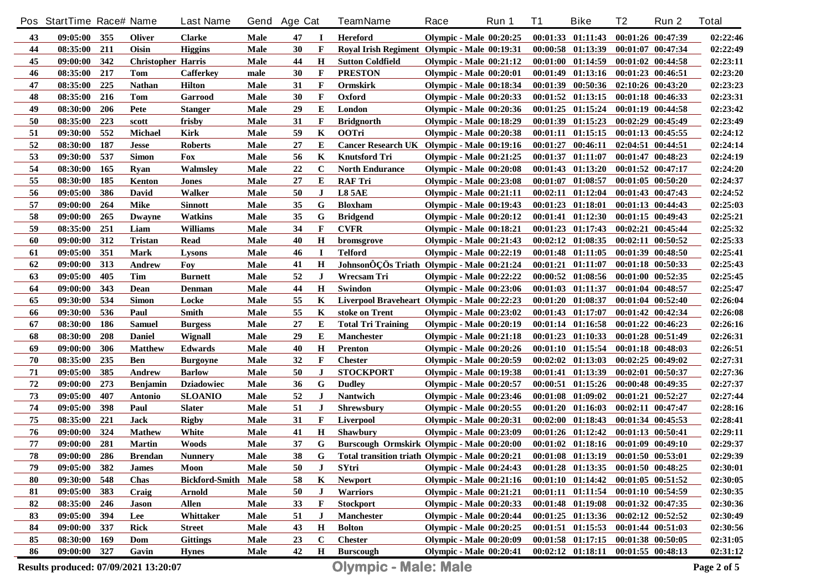|            | Pos StartTime Race# Name |     |                           | <b>Last Name</b>      |             | Gend Age Cat |              | <b>TeamName</b>                                 | Race                           | Run 1 | <b>T1</b> | <b>Bike</b>                                 | T <sub>2</sub>        | Run 2                 | <b>Total</b> |
|------------|--------------------------|-----|---------------------------|-----------------------|-------------|--------------|--------------|-------------------------------------------------|--------------------------------|-------|-----------|---------------------------------------------|-----------------------|-----------------------|--------------|
| 43         | 09:05:00 355             |     | <b>Oliver</b>             | <b>Clarke</b>         | Male        | 47           |              | <b>Hereford</b>                                 | <b>Olympic - Male 00:20:25</b> |       |           | $00:01:33$ $01:11:43$                       | 00:01:26 00:47:39     |                       | 02:22:46     |
| 44         | 08:35:00                 | 211 | Oisin                     | <b>Higgins</b>        | Male        | 30           | $\mathbf{F}$ | Royal Irish Regiment Olympic - Male 00:19:31    |                                |       |           | $00:00:58$ $01:13:39$                       |                       | $00:01:07$ $00:47:34$ | 02:22:49     |
| 45         | 09:00:00                 | 342 | <b>Christopher Harris</b> |                       | Male        | 44           | $\mathbf H$  | <b>Sutton Coldfield</b>                         | Olympic - Male $00:21:12$      |       |           | 00:01:00 01:14:59                           | $00:01:02$ $00:44:58$ |                       | 02:23:11     |
| 46         | 08:35:00                 | 217 | Tom                       | <b>Cafferkey</b>      | male        | 30           | F            | <b>PRESTON</b>                                  | <b>Olympic - Male 00:20:01</b> |       |           | 00:01:49 01:13:16                           | 00:01:23 00:46:51     |                       | 02:23:20     |
| 47         | 08:35:00                 | 225 | <b>Nathan</b>             | <b>Hilton</b>         | Male        | 31           | F            | Ormskirk                                        | <b>Olympic - Male 00:18:34</b> |       |           | 00:01:39 00:50:36                           | 02:10:26 00:43:20     |                       | 02:23:23     |
| 48         | 08:35:00                 | 216 | Tom                       | Garrood               | Male        | 30           | F            | Oxford                                          | <b>Olympic - Male 00:20:33</b> |       |           | 00:01:52 01:13:15                           | 00:01:18 00:46:33     |                       | 02:23:31     |
| 49         | 08:30:00                 | 206 | Pete                      | <b>Stanger</b>        | Male        | 29           | E            | London                                          | <b>Olympic - Male 00:20:36</b> |       |           | $00:01:25$ $01:15:24$                       | 00:01:19 00:44:58     |                       | 02:23:42     |
| 50         | 08:35:00                 | 223 | scott                     | frisby                | Male        | 31           | F            | <b>Bridgnorth</b>                               | Olympic - Male 00:18:29        |       |           | 00:01:39 01:15:23                           | 00:02:29 00:45:49     |                       | 02:23:49     |
| 51         | 09:30:00                 | 552 | <b>Michael</b>            | <b>Kirk</b>           | Male        | 59           | K            | <b>OOTri</b>                                    | <b>Olympic - Male 00:20:38</b> |       |           | 00:01:11 01:15:15                           | $00:01:13$ $00:45:55$ |                       | 02:24:12     |
| 52         | 08:30:00                 | 187 | <b>Jesse</b>              | <b>Roberts</b>        | Male        | 27           | E            | Cancer Research UK Olympic - Male 00:19:16      |                                |       |           | 00:01:27 00:46:11                           | 02:04:51 00:44:51     |                       | 02:24:14     |
| 53         | 09:30:00                 | 537 | <b>Simon</b>              | Fox                   | Male        | 56           | K            | <b>Knutsford Tri</b>                            | <b>Olympic - Male 00:21:25</b> |       |           | 00:01:37 01:11:07                           |                       | $00:01:47$ $00:48:23$ | 02:24:19     |
| 54         | 08:30:00                 | 165 | Ryan                      | Walmslev              | Male        | 22           | $\mathbf c$  | <b>North Endurance</b>                          | Olympic - Male 00:20:08        |       |           | 00:01:43 01:13:20                           |                       | $00:01:52$ $00:47:17$ | 02:24:20     |
| 55         | 08:30:00                 | 185 | Kenton                    | Jones                 | Male        | 27           | Е            | <b>RAF Tri</b>                                  | <b>Olympic - Male 00:23:08</b> |       |           | 00:01:07 01:08:57                           |                       | 00:01:05 00:50:20     | 02:24:37     |
| 56         | 09:05:00                 | 386 | David                     | Walker                | Male        | 50           | J            | <b>L8 5AE</b>                                   | <b>Olympic - Male 00:21:11</b> |       |           | $00:02:11$ $01:12:04$                       |                       | 00:01:43 00:47:43     | 02:24:52     |
| 57         | 09:00:00                 | 264 | <b>Mike</b>               | <b>Sinnott</b>        | Male        | 35           | G            | <b>Bloxham</b>                                  | <b>Olympic - Male 00:19:43</b> |       |           | 00:01:23 01:18:01                           |                       | $00:01:13$ $00:44:43$ | 02:25:03     |
| 58         | 09:00:00                 | 265 | <b>Dwayne</b>             | Watkins               | Male        | 35           | G            | <b>Bridgend</b>                                 | Olympic - Male $00:20:12$      |       |           | $00:01:41$ $01:12:30$                       |                       | $00:01:15$ $00:49:43$ | 02:25:21     |
| 59         | 08:35:00                 | 251 | Liam                      | Williams              | Male        | 34           | F            | <b>CVFR</b>                                     | Olympic - Male 00:18:21        |       |           | $00:01:23$ $01:17:43$                       | $00:02:21$ $00:45:44$ |                       | 02:25:32     |
| 60         | 09:00:00                 | 312 | Tristan                   | Read                  | Male        | 40           | $\mathbf H$  | bromsgrove                                      | <b>Olympic - Male 00:21:43</b> |       |           | $00:02:12$ $01:08:35$                       | $00:02:11$ $00:50:52$ |                       | 02:25:33     |
| 61         | 09:05:00                 | 351 | Mark                      | Lysons                | Male        | 46           | Л            | <b>Telford</b>                                  | <b>Olympic - Male 00:22:19</b> |       |           | 00:01:48 01:11:05                           |                       | 00:01:39 00:48:50     | 02:25:41     |
| 62         | 09:00:00                 | 313 | Andrew                    | Foy                   | Male        | 41           | $\mathbf H$  | JohnsonÔÇÖs Triath Olympic - Male 00:21:24      |                                |       |           | 00:01:21 01:11:07                           |                       | 00:01:18 00:50:33     | 02:25:43     |
| 63         | 09:05:00                 | 405 | Tim                       | <b>Burnett</b>        | Male        | 52           | J            | Wrecsam Tri                                     | <b>Olympic - Male 00:22:22</b> |       |           | $00:00:52$ $01:08:56$                       | $00:01:00$ $00:52:35$ |                       | 02:25:45     |
| 64         | 09:00:00                 | 343 | Dean                      | Denman                | Male        | 44           | $\mathbf H$  | Swindon                                         | <b>Olympic - Male 00:23:06</b> |       |           | 00:01:03 01:11:37                           |                       | 00:01:04 00:48:57     | 02:25:47     |
| 65         | 09:30:00                 | 534 | <b>Simon</b>              | Locke                 | Male        | 55           | K            | Liverpool Braveheart Olympic - Male 00:22:23    |                                |       |           | 00:01:20 01:08:37                           |                       | 00:01:04 00:52:40     | 02:26:04     |
| 66         | 09:30:00                 | 536 | Paul                      | Smith                 | Male        | 55           | K            | stoke on Trent                                  | <b>Olympic - Male 00:23:02</b> |       |           | 00:01:43 01:17:07                           |                       | 00:01:42 00:42:34     | 02:26:08     |
| 67         | 08:30:00                 | 186 | Samuel                    | <b>Burgess</b>        | Male        | 27           | Е            | <b>Total Tri Training</b>                       | <b>Olympic - Male 00:20:19</b> |       |           | 00:01:14 01:16:58                           |                       | 00:01:22 00:46:23     | 02:26:16     |
| 68         | 08:30:00                 | 208 | <b>Daniel</b>             | Wignall               | Male        | 29           | E            | Manchester                                      | Olympic - Male 00:21:18        |       |           | 00:01:23 01:10:33                           |                       | 00:01:28 00:51:49     | 02:26:31     |
| 69         | 09:00:00                 | 306 | <b>Matthew</b>            | <b>Edwards</b>        | Male        | 40           | $\mathbf H$  | Prenton                                         | <b>Olympic - Male 00:20:26</b> |       |           | 00:01:10 01:15:54                           |                       | 00:01:18 00:48:03     | 02:26:51     |
| 70         | 08:35:00                 | 235 | Ben                       | <b>Burgoyne</b>       | Male        | 32           | $\mathbf{F}$ | <b>Chester</b>                                  | <b>Olympic - Male 00:20:59</b> |       |           | $00:02:02$ $01:13:03$                       |                       | $00:02:25$ $00:49:02$ | 02:27:31     |
| 71         | 09:05:00                 | 385 | Andrew                    | <b>Barlow</b>         | Male        | 50           | J            | <b>STOCKPORT</b>                                | <b>Olympic - Male 00:19:38</b> |       |           | 00:01:41 01:13:39                           | 00:02:01 00:50:37     |                       | 02:27:36     |
| 72         | 09:00:00                 | 273 | <b>Benjamin</b>           | <b>Dziadowiec</b>     | Male        | 36           | G            | <b>Dudley</b>                                   | <b>Olympic - Male 00:20:57</b> |       |           | $00:00:51$ $01:15:26$                       | 00:00:48 00:49:35     |                       | 02:27:37     |
| 73         | 09:05:00                 | 407 | <b>Antonio</b>            | <b>SLOANIO</b>        | Male        | 52           | J            | <b>Nantwich</b>                                 | <b>Olympic - Male 00:23:46</b> |       |           | $00:01:08$ $01:09:02$                       | $00:01:21$ $00:52:27$ |                       | 02:27:44     |
| 74         | 09:05:00                 | 398 | Paul                      | <b>Slater</b>         | <b>Male</b> | 51           | J            | <b>Shrewsbury</b>                               | <b>Olympic - Male 00:20:55</b> |       |           | $00:01:20$ $01:16:03$                       | $00:02:11$ $00:47:47$ |                       | 02:28:16     |
| 75         | 08:35:00                 | 221 | <b>Jack</b>               | <b>Rigby</b>          | Male        | 31           | $\mathbf{F}$ | Liverpool                                       | <b>Olympic - Male 00:20:31</b> |       |           | $00:02:00$ $01:18:43$                       | 00:01:34 00:45:53     |                       | 02:28:41     |
| 76         | 09:00:00                 | 324 | <b>Mathew</b>             | White                 | Male        | 41           | H            | Shawbury                                        | <b>Olympic - Male 00:23:09</b> |       |           | $00:01:26$ $01:12:42$                       | 00:01:13 00:50:41     |                       | 02:29:11     |
| 77         | 09:00:00                 | 281 | <b>Martin</b>             | <b>Woods</b>          | Male        | 37           | G            | Burscough Ormskirk Olympic - Male 00:20:00      |                                |       |           | $00:01:02$ $01:18:16$                       | $00:01:09$ $00:49:10$ |                       | 02:29:37     |
| ${\bf 78}$ | 09:00:00 286             |     | <b>Brendan</b>            | <b>Nunnery</b>        | Male        | $38\,$       | $\bf G$      | Total transition triath Olympic - Male 00:20:21 |                                |       |           | $00:01:08$ $01:13:19$ $00:01:50$ $00:53:01$ |                       |                       | 02:29:39     |
| 79         | $09:05:00$ 382           |     | <b>James</b>              | Moon                  | Male        | 50           | $\bf J$      | <b>SYtri</b>                                    | Olympic - Male $00:24:43$      |       |           | $00:01:28$ $01:13:35$ $00:01:50$ $00:48:25$ |                       |                       | 02:30:01     |
| 80         | 09:30:00                 | 548 | Chas                      | <b>Bickford-Smith</b> | Male        | 58           | K            | <b>Newport</b>                                  | <b>Olympic - Male 00:21:16</b> |       |           | $00:01:10$ $01:14:42$                       | $00:01:05$ $00:51:52$ |                       | 02:30:05     |
| 81         | 09:05:00                 | 383 | Craig                     | <b>Arnold</b>         | Male        | 50           | J            | <b>Warriors</b>                                 | <b>Olympic - Male 00:21:21</b> |       |           | $00:01:11$ $01:11:54$                       | $00:01:10$ $00:54:59$ |                       | 02:30:35     |
| 82         | 08:35:00                 | 246 | <b>Jason</b>              | Allen                 | Male        | 33           | F            | <b>Stockport</b>                                | <b>Olympic - Male 00:20:33</b> |       |           | $00:01:48$ 01:19:08                         | $00:01:32$ $00:47:35$ |                       | 02:30:36     |
| 83         | 09:05:00                 | 394 | Lee                       | Whittaker             | Male        | 51           | J            | <b>Manchester</b>                               | <b>Olympic - Male 00:20:44</b> |       |           | $00:01:25$ $01:13:36$                       | $00:02:12$ $00:52:52$ |                       | 02:30:49     |
| 84         | 09:00:00                 | 337 | Rick                      | <b>Street</b>         | Male        | 43           | Н            | <b>Bolton</b>                                   | <b>Olympic - Male 00:20:25</b> |       |           | $00:01:51$ $01:15:53$                       | $00:01:44$ $00:51:03$ |                       | 02:30:56     |
| 85         | 08:30:00                 | 169 | Dom                       | <b>Gittings</b>       | Male        | 23           | $\mathbf C$  | <b>Chester</b>                                  | <b>Olympic - Male 00:20:09</b> |       |           | $00:01:58$ $01:17:15$                       | 00:01:38 00:50:05     |                       | 02:31:05     |
| 86         | 09:00:00                 | 327 | Gavin                     | <b>Hynes</b>          | Male        | 42           | $\mathbf H$  | <b>Burscough</b>                                | Olympic - Male 00:20:41        |       |           | $00:02:12$ $01:18:11$                       | $00:01:55$ $00:48:13$ |                       | 02:31:12     |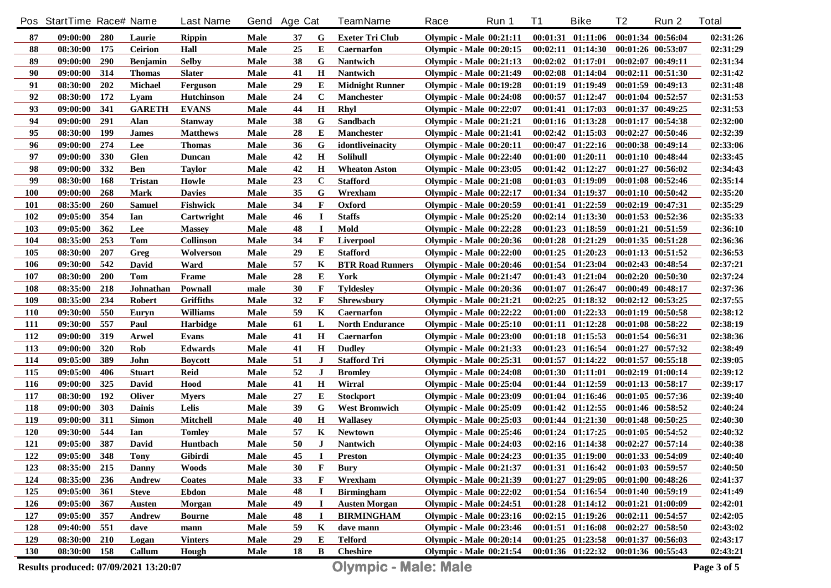|            | Pos StartTime Race# Name |            |                 | <b>Last Name</b> |             | Gend Age Cat |              | TeamName                | Race                           | Run 1 | <b>T1</b> | <b>Bike</b>                         | T <sub>2</sub>        | Run 2                 | <b>Total</b> |
|------------|--------------------------|------------|-----------------|------------------|-------------|--------------|--------------|-------------------------|--------------------------------|-------|-----------|-------------------------------------|-----------------------|-----------------------|--------------|
| 87         | $09:00:00$ 280           |            | Laurie          | <b>Rippin</b>    | Male        | 37           | G            | <b>Exeter Tri Club</b>  | <b>Olympic - Male 00:21:11</b> |       |           | $00:01:31$ $01:11:06$               |                       | 00:01:34 00:56:04     | 02:31:26     |
| 88         | 08:30:00                 | 175        | <b>Ceirion</b>  | Hall             | Male        | 25           | E            | <b>Caernarfon</b>       | <b>Olympic - Male 00:20:15</b> |       |           | $00:02:11$ $01:14:30$               |                       | $00:01:26$ $00:53:07$ | 02:31:29     |
| 89         | 09:00:00                 | <b>290</b> | <b>Benjamin</b> | <b>Selby</b>     | Male        | 38           | G            | <b>Nantwich</b>         | <b>Olympic - Male 00:21:13</b> |       |           | $00:02:02$ $01:17:01$               | $00:02:07$ $00:49:11$ |                       | 02:31:34     |
| 90         | 09:00:00                 | 314        | <b>Thomas</b>   | <b>Slater</b>    | <b>Male</b> | 41           | $\mathbf H$  | <b>Nantwich</b>         | <b>Olympic - Male 00:21:49</b> |       |           | $00:02:08$ $01:14:04$               |                       | $00:02:11$ $00:51:30$ | 02:31:42     |
| 91         | 08:30:00                 | 202        | <b>Michael</b>  | Ferguson         | <b>Male</b> | 29           | E            | <b>Midnight Runner</b>  | <b>Olympic - Male 00:19:28</b> |       |           | $00:01:19$ $01:19:49$               |                       | 00:01:59 00:49:13     | 02:31:48     |
| 92         | 08:30:00                 | 172        | Lyam            | Hutchinson       | <b>Male</b> | 24           | C            | <b>Manchester</b>       | <b>Olympic - Male 00:24:08</b> |       |           | 00:00:57 01:12:47                   |                       | $00:01:04$ $00:52:57$ | 02:31:53     |
| 93         | 09:00:00                 | 341        | <b>GARETH</b>   | <b>EVANS</b>     | <b>Male</b> | 44           | $\bf H$      | Rhyl                    | <b>Olympic - Male 00:22:07</b> |       |           | 00:01:41 01:17:03                   |                       | 00:01:37 00:49:25     | 02:31:53     |
| 94         | 09:00:00                 | 291        | Alan            | <b>Stanway</b>   | <b>Male</b> | 38           | G            | <b>Sandbach</b>         | <b>Olympic - Male 00:21:21</b> |       |           | 00:01:16 01:13:28                   | 00:01:17 00:54:38     |                       | 02:32:00     |
| 95         | 08:30:00                 | 199        | <b>James</b>    | <b>Matthews</b>  | Male        | 28           | E            | <b>Manchester</b>       | <b>Olympic - Male 00:21:41</b> |       |           | $00:02:42$ $01:15:03$               |                       | 00:02:27 00:50:46     | 02:32:39     |
| 96         | 09:00:00                 | 274        | Lee             | Thomas           | <b>Male</b> | 36           | G            | idontliveinacity        | <b>Olympic - Male 00:20:11</b> |       |           | $00:00:47$ $01:22:16$               |                       | 00:00:38 00:49:14     | 02:33:06     |
| 97         | 09:00:00                 | 330        | <b>Glen</b>     | <b>Duncan</b>    | <b>Male</b> | 42           | $\mathbf H$  | <b>Solihull</b>         | Olympic - Male $00:22:40$      |       |           | 00:01:00 01:20:11                   |                       | 00:01:10 00:48:44     | 02:33:45     |
| 98         | 09:00:00                 | 332        | <b>Ben</b>      | Taylor           | Male        | 42           | $\mathbf H$  | <b>Wheaton Aston</b>    | <b>Olympic - Male 00:23:05</b> |       |           | 00:01:42 01:12:27                   |                       | 00:01:27 00:56:02     | 02:34:43     |
| 99         | 08:30:00                 | 168        | Tristan         | Howle            | Male        | 23           | $\mathbf C$  | <b>Stafford</b>         | <b>Olympic - Male 00:21:08</b> |       |           | 00:01:03 01:19:09                   |                       | 00:01:08 00:52:46     | 02:35:14     |
| 100        | 09:00:00                 | 268        | <b>Mark</b>     | <b>Davies</b>    | Male        | 35           | G            | Wrexham                 | <b>Olympic - Male 00:22:17</b> |       |           | 00:01:34 01:19:37                   |                       | $00:01:10$ $00:50:42$ | 02:35:20     |
| <b>101</b> | 08:35:00                 | <b>260</b> | <b>Samuel</b>   | <b>Fishwick</b>  | Male        | 34           | F            | Oxford                  | <b>Olympic - Male 00:20:59</b> |       |           | 00:01:41 01:22:59                   |                       | 00:02:19 00:47:31     | 02:35:29     |
| 102        | 09:05:00                 | 354        | Ian             | Cartwright       | Male        | 46           | $\bf I$      | <b>Staffs</b>           | <b>Olympic - Male 00:25:20</b> |       |           | $00:02:14$ $01:13:30$               |                       | $00:01:53$ $00:52:36$ | 02:35:33     |
| 103        | 09:05:00                 | 362        | Lee             | <b>Massey</b>    | Male        | 48           | $\bf I$      | Mold                    | <b>Olympic - Male 00:22:28</b> |       |           | $00:01:23$ $01:18:59$               |                       | 00:01:21 00:51:59     | 02:36:10     |
| 104        | 08:35:00                 | 253        | <b>Tom</b>      | <b>Collinson</b> | Male        | 34           | F            | <b>Liverpool</b>        | <b>Olympic - Male 00:20:36</b> |       |           | $00:01:28$ $01:21:29$               |                       | 00:01:35 00:51:28     | 02:36:36     |
| 105        | 08:30:00                 | 207        | Greg            | Wolverson        | Male        | 29           | Е            | <b>Stafford</b>         | Olympic - Male $00:22:00$      |       |           | $00:01:25$ $01:20:23$               |                       | 00:01:13 00:51:52     | 02:36:53     |
| 106        | 09:30:00                 | 542        | David           | Ward             | Male        | 57           | K            | <b>BTR Road Runners</b> | <b>Olympic - Male 00:20:46</b> |       |           | $00:01:54$ $01:23:04$               |                       | 00:02:43 00:48:54     | 02:37:21     |
| 107        | 08:30:00                 | <b>200</b> | Tom             | Frame            | Male        | 28           | E            | York                    | <b>Olympic - Male 00:21:47</b> |       |           | $00:01:43$ $01:21:04$               |                       | 00:02:20 00:50:30     | 02:37:24     |
| 108        | 08:35:00                 | 218        | Johnathan       | Pownall          | male        | 30           | $\mathbf{F}$ | <b>Tyldeslev</b>        | <b>Olympic - Male 00:20:36</b> |       |           | $00:01:07$ $01:26:47$               |                       | 00:00:49 00:48:17     | 02:37:36     |
| 109        | 08:35:00                 | 234        | <b>Robert</b>   | <b>Griffiths</b> | Male        | 32           | $\mathbf{F}$ | <b>Shrewsbury</b>       | <b>Olympic - Male 00:21:21</b> |       |           | $00:02:25$ $01:18:32$               |                       | $00:02:12$ $00:53:25$ | 02:37:55     |
| <b>110</b> | 09:30:00                 | 550        | Euryn           | <b>Williams</b>  | Male        | 59           | K            | <b>Caernarfon</b>       | Olympic - Male $00:22:22$      |       |           | $00:01:00$ $01:22:33$               |                       | 00:01:19 00:50:58     | 02:38:12     |
| 111        | 09:30:00                 | 557        | Paul            | <b>Harbidge</b>  | Male        | 61           | L            | <b>North Endurance</b>  | Olympic - Male $00:25:10$      |       |           | 00:01:11 01:12:28                   |                       | $00:01:08$ $00:58:22$ | 02:38:19     |
| 112        | 09:00:00                 | 319        | Arwel           | Evans            | Male        | 41           | $\mathbf H$  | <b>Caernarfon</b>       | Olympic - Male $00:23:00$      |       |           | 00:01:18 01:15:53                   |                       | 00:01:54 00:56:31     | 02:38:36     |
| 113        | 09:00:00                 | 320        | Rob             | <b>Edwards</b>   | Male        | 41           | $\bf H$      | <b>Dudley</b>           | <b>Olympic - Male 00:21:33</b> |       |           | $00:01:23$ $01:16:54$               |                       | 00:01:27 00:57:32     | 02:38:49     |
| 114        | 09:05:00                 | 389        | John            | <b>Boycott</b>   | Male        | 51           | J            | <b>Stafford Tri</b>     | <b>Olympic - Male 00:25:31</b> |       |           | $00:01:57$ $01:14:22$               |                       | $00:01:57$ $00:55:18$ | 02:39:05     |
| 115        | 09:05:00                 | 406        | <b>Stuart</b>   | Reid             | Male        | 52           | J            | <b>Bromley</b>          | Olympic - Male 00:24:08        |       |           | 00:01:30 01:11:01                   |                       | $00:02:19$ $01:00:14$ | 02:39:12     |
| 116        | 09:00:00                 | 325        | David           | Hood             | Male        | 41           | $\mathbf H$  | Wirral                  | <b>Olympic - Male 00:25:04</b> |       |           | 00:01:44 01:12:59                   |                       | 00:01:13 00:58:17     | 02:39:17     |
| 117        | 08:30:00                 | 192        | <b>Oliver</b>   | <b>Mvers</b>     | Male        | 27           | E            | <b>Stockport</b>        | <b>Olympic - Male 00:23:09</b> |       |           | 00:01:04 01:16:46                   |                       | $00:01:05$ $00:57:36$ | 02:39:40     |
| 118        | 09:00:00                 | 303        | <b>Dainis</b>   | Lelis            | Male        | 39           | G            | <b>West Bromwich</b>    | <b>Olympic - Male 00:25:09</b> |       |           | $00:01:42$ $01:12:55$               |                       | 00:01:46 00:58:52     | 02:40:24     |
| 119        | 09:00:00                 | 311        | <b>Simon</b>    | Mitchell         | Male        | 40           | Н            | <b>Wallasev</b>         | <b>Olympic - Male 00:25:03</b> |       |           | 00:01:44 01:21:30                   |                       | 00:01:48 00:50:25     | 02:40:30     |
| 120        | 09:30:00                 | 544        | Ian             | <b>Tomley</b>    | Male        | 57           | K            | <b>Newtown</b>          | <b>Olympic - Male 00:25:46</b> |       |           | $00:01:24$ $01:17:25$               |                       | $00:01:05$ $00:54:52$ | 02:40:32     |
| 121        | 09:05:00                 | 387        | <b>David</b>    | Huntbach         | Male        | 50           | $\bf J$      | <b>Nantwich</b>         | <b>Olympic - Male 00:24:03</b> |       |           | $00:02:16$ $01:14:38$               | $00:02:27$ $00:57:14$ |                       | 02:40:38     |
| <u>122</u> | 09:05:00 348             |            | <b>Tony</b>     | Gibirdi          | <b>Male</b> | 45           | I            | <b>Preston</b>          | <b>Olympic - Male 00:24:23</b> |       |           | 00:01:35 01:19:00 00:01:33 00:54:09 |                       |                       | 02:40:40     |
| 123        | 08:35:00                 | 215        | Danny           | <b>Woods</b>     | Male        | 30           | F            | <b>Bury</b>             | <b>Olympic - Male 00:21:37</b> |       |           | $00:01:31$ $01:16:42$               | $00:01:03$ $00:59:57$ |                       | 02:40:50     |
| 124        | 08:35:00                 | 236        | Andrew          | Coates           | Male        | 33           | F            | Wrexham                 | <b>Olympic - Male 00:21:39</b> |       |           | 00:01:27 01:29:05                   |                       | 00:01:00 00:48:26     | 02:41:37     |
| 125        | 09:05:00                 | 361        | <b>Steve</b>    | <b>Ebdon</b>     | Male        | 48           | $\bf{I}$     | <b>Birmingham</b>       | Olympic - Male $00:22:02$      |       |           | $00:01:54$ $01:16:54$               |                       | 00:01:40 00:59:19     | 02:41:49     |
| 126        | 09:05:00                 | 367        | Austen          | Morgan           | Male        | 49           | $\bf{I}$     | <b>Austen Morgan</b>    | Olympic - Male 00:24:51        |       |           | $00:01:28$ $01:14:12$               | 00:01:21 01:00:09     |                       | 02:42:01     |
| 127        | 09:05:00                 | 357        | Andrew          | <b>Bourne</b>    | Male        | 48           | $\bf{I}$     | <b>BIRMINGHAM</b>       | <b>Olympic - Male 00:23:16</b> |       |           | $00:02:15$ $01:19:26$               | 00:02:11 00:54:57     |                       | 02:42:05     |
| 128        | 09:40:00                 | 551        | dave            | mann             | Male        | 59           | K            | dave mann               | <b>Olympic - Male 00:23:46</b> |       |           | $00:01:51$ $01:16:08$               | $00:02:27$ $00:58:50$ |                       | 02:43:02     |
| 129        | 08:30:00                 | 210        | Logan           | <b>Vinters</b>   | Male        | 29           | E            | Telford                 | Olympic - Male 00:20:14        |       |           | $00:01:25$ $01:23:58$               | 00:01:37 00:56:03     |                       | 02:43:17     |
| 130        | 08:30:00 158             |            | Callum          | Hough            | Male        | 18           | B            | <b>Cheshire</b>         | <b>Olympic - Male 00:21:54</b> |       |           | $00:01:36$ $01:22:32$               | 00:01:36 00:55:43     |                       | 02:43:21     |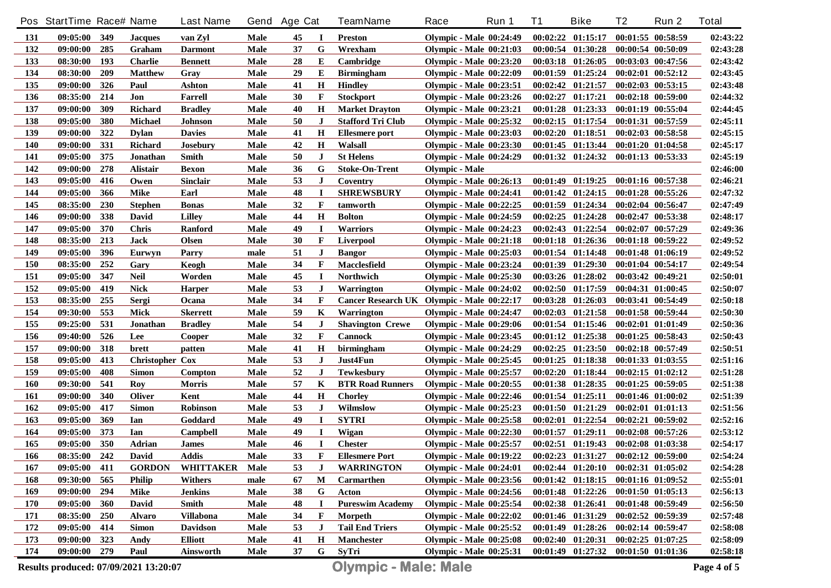|            | Pos StartTime Race# Name |     |                        | <b>Last Name</b> | Gend        | <b>Age Cat</b> |              | <b>TeamName</b>                            | Race                           | Run 1 | <b>T1</b> | <b>Bike</b>                                 | T <sub>2</sub>        | Run 2                 | <b>Total</b> |
|------------|--------------------------|-----|------------------------|------------------|-------------|----------------|--------------|--------------------------------------------|--------------------------------|-------|-----------|---------------------------------------------|-----------------------|-----------------------|--------------|
| 131        | 09:05:00                 | 349 | <b>Jacques</b>         | van Zvl          | Male        | 45             | -1           | <b>Preston</b>                             | <b>Olympic - Male 00:24:49</b> |       |           | $00:02:22$ $01:15:17$                       | $00:01:55$ $00:58:59$ |                       | 02:43:22     |
| 132        | 09:00:00                 | 285 | Graham                 | <b>Darmont</b>   | Male        | 37             | G            | Wrexham                                    | <b>Olympic - Male 00:21:03</b> |       |           | 00:00:54 01:30:28                           | 00:00:54 00:50:09     |                       | 02:43:28     |
| 133        | 08:30:00                 | 193 | <b>Charlie</b>         | <b>Bennett</b>   | Male        | 28             | Е            | Cambridge                                  | <b>Olympic - Male 00:23:20</b> |       |           | 00:03:18 01:26:05                           | 00:03:03 00:47:56     |                       | 02:43:42     |
| 134        | 08:30:00                 | 209 | <b>Matthew</b>         | Gray             | Male        | 29             | Е            | <b>Birmingham</b>                          | <b>Olympic - Male 00:22:09</b> |       | 00:01:59  | 01:25:24                                    | $00:02:01$ $00:52:12$ |                       | 02:43:45     |
| 135        | 09:00:00                 | 326 | Paul                   | Ashton           | <b>Male</b> | 41             | $\mathbf H$  | <b>Hindley</b>                             | <b>Olympic - Male 00:23:51</b> |       |           | 00:02:42 01:21:57                           |                       | $00:02:03$ $00:53:15$ | 02:43:48     |
| 136        | 08:35:00                 | 214 | Jon                    | Farrell          | Male        | 30             | F            | <b>Stockport</b>                           | Olympic - Male $00:23:26$      |       |           | $00:02:27$ $01:17:21$                       |                       | 00:02:18 00:59:00     | 02:44:32     |
| 137        | 09:00:00                 | 309 | <b>Richard</b>         | <b>Bradley</b>   | Male        | 40             | $\mathbf H$  | <b>Market Drayton</b>                      | <b>Olympic - Male 00:23:21</b> |       |           | 00:01:28 01:23:33                           |                       | 00:01:19 00:55:04     | 02:44:45     |
| 138        | 09:05:00                 | 380 | Michael                | <b>Johnson</b>   | <b>Male</b> | 50             | J            | <b>Stafford Tri Club</b>                   | <b>Olympic - Male 00:25:32</b> |       |           | $00:02:15$ $01:17:54$                       |                       | 00:01:31 00:57:59     | 02:45:11     |
| 139        | 09:00:00                 | 322 | <b>Dylan</b>           | <b>Davies</b>    | Male        | 41             | $\mathbf H$  | <b>Ellesmere</b> port                      | <b>Olympic - Male 00:23:03</b> |       |           | 00:02:20 01:18:51                           | $00:02:03$ $00:58:58$ |                       | 02:45:15     |
| <b>140</b> | 09:00:00                 | 331 | <b>Richard</b>         | <b>Josebury</b>  | Male        | 42             | $\mathbf H$  | Walsall                                    | <b>Olympic - Male 00:23:30</b> |       |           | 00:01:45 01:13:44                           |                       | 00:01:20 01:04:58     | 02:45:17     |
| 141        | 09:05:00                 | 375 | Jonathan               | Smith            | Male        | 50             | J            | <b>St Helens</b>                           | <b>Olympic - Male 00:24:29</b> |       |           | 00:01:32 01:24:32                           | 00:01:13 00:53:33     |                       | 02:45:19     |
| 142        | 09:00:00                 | 278 | Alistair               | <b>Bexon</b>     | Male        | 36             | G            | <b>Stoke-On-Trent</b>                      | <b>Olympic - Male</b>          |       |           |                                             |                       |                       | 02:46:00     |
| 143        | 09:05:00                 | 416 | Owen                   | <b>Sinclair</b>  | Male        | 53             | J            | Coventry                                   | <b>Olympic - Male 00:26:13</b> |       |           | $00:01:49$ $01:19:25$                       |                       | 00:01:16 00:57:38     | 02:46:21     |
| 144        | 09:05:00                 | 366 | <b>Mike</b>            | Earl             | Male        | 48             | I            | <b>SHREWSBURY</b>                          | <b>Olympic - Male 00:24:41</b> |       |           | $00:01:42$ $01:24:15$                       |                       | $00:01:28$ $00:55:26$ | 02:47:32     |
| 145        | 08:35:00                 | 230 | <b>Stephen</b>         | <b>Bonas</b>     | Male        | 32             | $\mathbf{F}$ | tamworth                                   | Olympic - Male $00:22:25$      |       |           | $00:01:59$ $01:24:34$                       |                       | 00:02:04 00:56:47     | 02:47:49     |
| 146        | 09:00:00                 | 338 | David                  | Lilley           | Male        | 44             | $\mathbf H$  | <b>Bolton</b>                              | <b>Olympic - Male 00:24:59</b> |       |           | $00:02:25$ $01:24:28$                       |                       | 00:02:47 00:53:38     | 02:48:17     |
| 147        | 09:05:00                 | 370 | Chris                  | Ranford          | Male        | 49             | $\bf{I}$     | Warriors                                   | <b>Olympic - Male 00:24:23</b> |       |           | $00:02:43$ $01:22:54$                       |                       | 00:02:07 00:57:29     | 02:49:36     |
| 148        | 08:35:00                 | 213 | <b>Jack</b>            | <b>Olsen</b>     | Male        | 30             | F            | Liverpool                                  | Olympic - Male 00:21:18        |       |           | $00:01:18$ $01:26:36$                       |                       | 00:01:18 00:59:22     | 02:49:52     |
| 149        | 09:05:00                 | 396 | Eurwyn                 | Parry            | male        | 51             | J            | <b>Bangor</b>                              | <b>Olympic - Male 00:25:03</b> |       |           | $00:01:54$ $01:14:48$                       |                       | 00:01:48 01:06:19     | 02:49:52     |
| 150        | 08:35:00                 | 252 | Gary                   | Keogh            | Male        | 34             | F            | Macclesfield                               | <b>Olympic - Male 00:23:24</b> |       |           | $00:01:39$ $01:29:30$                       |                       | 00:01:04 00:54:17     | 02:49:54     |
| 151        | 09:05:00                 | 347 | Neil                   | Worden           | Male        | 45             | $\bf I$      | Northwich                                  | <b>Olympic - Male 00:25:30</b> |       |           | 00:03:26 01:28:02                           |                       | 00:03:42 00:49:21     | 02:50:01     |
| 152        | 09:05:00                 | 419 | <b>Nick</b>            | <b>Harper</b>    | Male        | 53             | J            | Warrington                                 | Olympic - Male 00:24:02        |       |           | 00:02:50 01:17:59                           |                       | 00:04:31 01:00:45     | 02:50:07     |
| 153        | 08:35:00                 | 255 | Sergi                  | Ocana            | Male        | 34             | F            | Cancer Research UK Olympic - Male 00:22:17 |                                |       |           | $00:03:28$ $01:26:03$                       |                       | 00:03:41 00:54:49     | 02:50:18     |
| 154        | 09:30:00                 | 553 | <b>Mick</b>            | <b>Skerrett</b>  | Male        | 59             | K            | Warrington                                 | <b>Olympic - Male 00:24:47</b> |       |           | $00:02:03$ $01:21:58$                       |                       | 00:01:58 00:59:44     | 02:50:30     |
| 155        | 09:25:00                 | 531 | Jonathan               | <b>Bradley</b>   | Male        | 54             | J            | <b>Shavington Crewe</b>                    | <b>Olympic - Male 00:29:06</b> |       |           | $00:01:54$ $01:15:46$                       | 00:02:01 01:01:49     |                       | 02:50:36     |
| 156        | 09:40:00                 | 526 | Lee                    | Cooper           | Male        | 32             | $\mathbf{F}$ | <b>Cannock</b>                             | <b>Olympic - Male 00:23:45</b> |       |           | $00:01:12$ $01:25:38$                       |                       | 00:01:25 00:58:43     | 02:50:43     |
| 157        | 09:00:00                 | 318 | brett                  | patten           | Male        | 41             | $\mathbf H$  | birmingham                                 | <b>Olympic - Male 00:24:29</b> |       |           | $00:02:25$ $01:23:50$                       |                       | 00:02:18 00:57:49     | 02:50:51     |
| 158        | 09:05:00                 | 413 | <b>Christopher Cox</b> |                  | Male        | 53             | J            | Just4Fun                                   | <b>Olympic - Male 00:25:45</b> |       |           | $00:01:25$ $01:18:38$                       |                       | 00:01:33 01:03:55     | 02:51:16     |
| 159        | 09:05:00                 | 408 | <b>Simon</b>           | Compton          | Male        | 52             | J            | <b>Tewkesbury</b>                          | <b>Olympic - Male 00:25:57</b> |       | 00:02:20  | 01:18:44                                    |                       | $00:02:15$ $01:02:12$ | 02:51:28     |
| <b>160</b> | 09:30:00                 | 541 | Roy                    | Morris           | <b>Male</b> | 57             | K            | <b>BTR Road Runners</b>                    | <b>Olympic - Male 00:20:55</b> |       |           | 00:01:38 01:28:35                           | $00:01:25$ $00:59:05$ |                       | 02:51:38     |
| 161        | 09:00:00                 | 340 | <b>Oliver</b>          | Kent             | <b>Male</b> | 44             | Н            | <b>Chorley</b>                             | <b>Olympic - Male 00:22:46</b> |       |           | 00:01:54 01:25:11                           | 00:01:46 01:00:02     |                       | 02:51:39     |
| 162        | 09:05:00                 | 417 | <b>Simon</b>           | <b>Robinson</b>  | <b>Male</b> | 53             | J            | Wilmslow                                   | <b>Olympic - Male 00:25:23</b> |       |           | 00:01:50 01:21:29                           |                       | $00:02:01$ $01:01:13$ | 02:51:56     |
| 163        | 09:05:00                 | 369 | Ian                    | Goddard          | Male        | 49             | $\bf I$      | <b>SYTRI</b>                               | <b>Olympic - Male 00:25:58</b> |       |           | 00:02:01 01:22:54                           |                       | 00:02:21 00:59:02     | 02:52:16     |
| 164        | 09:05:00                 | 373 | Ian                    | Campbell         | Male        | 49             | $\bf{I}$     | Wigan                                      | <b>Olympic - Male 00:22:30</b> |       | 00:01:57  | 01:29:11                                    |                       | 00:02:08 00:57:26     | 02:53:12     |
| 165        | 09:05:00                 | 350 | Adrian                 | <b>James</b>     | <b>Male</b> | 46             | $\bf{I}$     | <b>Chester</b>                             | <b>Olympic - Male 00:25:57</b> |       |           | $00:02:51$ $01:19:43$                       | 00:02:08 01:03:38     |                       | 02:54:17     |
| <b>166</b> | 08:35:00 242             |     | David                  | <b>Addis</b>     | Male        | 33             | F            | <b>Ellesmere Port</b>                      | Olympic - Male 00:19:22        |       |           | $00:02:23$ $01:31:27$ $00:02:12$ $00:59:00$ |                       |                       | 02:54:24     |
| 167        | $09:05:00$ 411           |     | <b>GORDON</b>          | WHITTAKER        | Male        | 53             | J            | <b>WARRINGTON</b>                          | <b>Olympic - Male 00:24:01</b> |       |           | $00:02:44$ $01:20:10$ $00:02:31$ $01:05:02$ |                       |                       | 02:54:28     |
| 168        | 09:30:00                 | 565 | <b>Philip</b>          | Withers          | male        | 67             | M            | Carmarthen                                 | <b>Olympic - Male 00:23:56</b> |       |           | $00:01:42$ $01:18:15$                       | 00:01:16 01:09:52     |                       | 02:55:01     |
| 169        | 09:00:00                 | 294 | Mike                   | <b>Jenkins</b>   | Male        | 38             | G            | Acton                                      | Olympic - Male $00:24:56$      |       |           | $00:01:48$ $01:22:26$                       |                       | $00:01:50$ $01:05:13$ | 02:56:13     |
| 170        | 09:05:00                 | 360 | David                  | <b>Smith</b>     | Male        | 48             | $\bf I$      | <b>Pureswim Academy</b>                    | <b>Olympic - Male 00:25:54</b> |       |           | $00:02:38$ $01:26:41$                       | 00:01:48 00:59:49     |                       | 02:56:50     |
| 171        | 08:35:00                 | 250 | <b>Alvaro</b>          | <b>Villabona</b> | Male        | 34             | F            | Morpeth                                    | Olympic - Male $00:22:02$      |       |           | 00:01:46 01:31:29                           | 00:02:52 00:59:39     |                       | 02:57:48     |
| 172        | 09:05:00                 | 414 | <b>Simon</b>           | <b>Davidson</b>  | Male        | 53             | J            | <b>Tail End Triers</b>                     | <b>Olympic - Male 00:25:52</b> |       |           | $00:01:49$ $01:28:26$                       | $00:02:14$ $00:59:47$ |                       | 02:58:08     |
| 173        | 09:00:00                 | 323 | Andy                   | <b>Elliott</b>   | Male        | 41             | H            | <b>Manchester</b>                          | Olympic - Male 00:25:08        |       |           | $00:02:40$ $01:20:31$                       | $00:02:25$ $01:07:25$ |                       | 02:58:09     |
| 174        | 09:00:00                 | 279 | Paul                   | <b>Ainsworth</b> | Male        | 37             | G            | SyTri                                      | <b>Olympic - Male 00:25:31</b> |       |           | 00:01:49 01:27:32 00:01:50 01:01:36         |                       |                       | 02:58:18     |